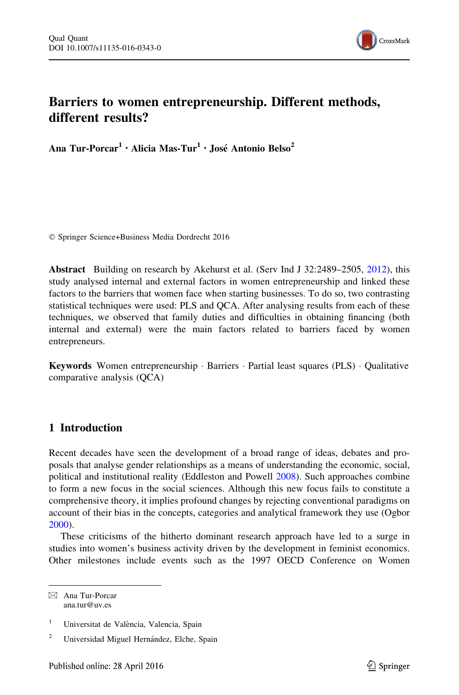

# Barriers to women entrepreneurship. Different methods, different results?

Ana Tur-Porcar<sup>1</sup> · Alicia Mas-Tur<sup>1</sup> · José Antonio Belso<sup>2</sup>

- Springer Science+Business Media Dordrecht 2016

Abstract Building on research by Akehurst et al. (Serv Ind J 32:2489–2505, [2012](#page-13-0)), this study analysed internal and external factors in women entrepreneurship and linked these factors to the barriers that women face when starting businesses. To do so, two contrasting statistical techniques were used: PLS and QCA. After analysing results from each of these techniques, we observed that family duties and difficulties in obtaining financing (both internal and external) were the main factors related to barriers faced by women entrepreneurs.

Keywords Women entrepreneurship · Barriers · Partial least squares (PLS) · Qualitative comparative analysis (QCA)

## 1 Introduction

Recent decades have seen the development of a broad range of ideas, debates and proposals that analyse gender relationships as a means of understanding the economic, social, political and institutional reality (Eddleston and Powell [2008](#page-14-0)). Such approaches combine to form a new focus in the social sciences. Although this new focus fails to constitute a comprehensive theory, it implies profound changes by rejecting conventional paradigms on account of their bias in the concepts, categories and analytical framework they use (Ogbor [2000\)](#page-14-0).

These criticisms of the hitherto dominant research approach have led to a surge in studies into women's business activity driven by the development in feminist economics. Other milestones include events such as the 1997 OECD Conference on Women

& Ana Tur-Porcar ana.tur@uv.es

<sup>&</sup>lt;sup>1</sup> Universitat de València, Valencia, Spain

<sup>&</sup>lt;sup>2</sup> Universidad Miguel Hernández, Elche, Spain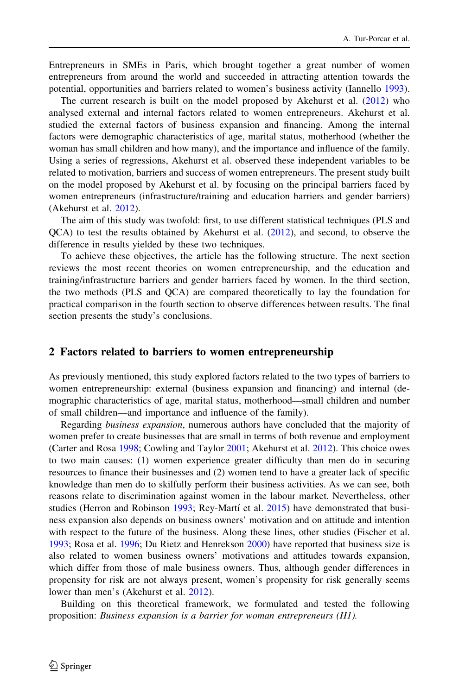Entrepreneurs in SMEs in Paris, which brought together a great number of women entrepreneurs from around the world and succeeded in attracting attention towards the potential, opportunities and barriers related to women's business activity (Iannello [1993](#page-14-0)).

The current research is built on the model proposed by Akehurst et al. [\(2012](#page-13-0)) who analysed external and internal factors related to women entrepreneurs. Akehurst et al. studied the external factors of business expansion and financing. Among the internal factors were demographic characteristics of age, marital status, motherhood (whether the woman has small children and how many), and the importance and influence of the family. Using a series of regressions, Akehurst et al. observed these independent variables to be related to motivation, barriers and success of women entrepreneurs. The present study built on the model proposed by Akehurst et al. by focusing on the principal barriers faced by women entrepreneurs (infrastructure/training and education barriers and gender barriers) (Akehurst et al. [2012](#page-13-0)).

The aim of this study was twofold: first, to use different statistical techniques (PLS and QCA) to test the results obtained by Akehurst et al. [\(2012](#page-13-0)), and second, to observe the difference in results yielded by these two techniques.

To achieve these objectives, the article has the following structure. The next section reviews the most recent theories on women entrepreneurship, and the education and training/infrastructure barriers and gender barriers faced by women. In the third section, the two methods (PLS and QCA) are compared theoretically to lay the foundation for practical comparison in the fourth section to observe differences between results. The final section presents the study's conclusions.

#### 2 Factors related to barriers to women entrepreneurship

As previously mentioned, this study explored factors related to the two types of barriers to women entrepreneurship: external (business expansion and financing) and internal (demographic characteristics of age, marital status, motherhood—small children and number of small children—and importance and influence of the family).

Regarding business expansion, numerous authors have concluded that the majority of women prefer to create businesses that are small in terms of both revenue and employment (Carter and Rosa [1998;](#page-13-0) Cowling and Taylor [2001](#page-13-0); Akehurst et al. [2012](#page-13-0)). This choice owes to two main causes: (1) women experience greater difficulty than men do in securing resources to finance their businesses and (2) women tend to have a greater lack of specific knowledge than men do to skilfully perform their business activities. As we can see, both reasons relate to discrimination against women in the labour market. Nevertheless, other studies (Herron and Robinson [1993;](#page-14-0) Rey-Martí et al.  $2015$ ) have demonstrated that business expansion also depends on business owners' motivation and on attitude and intention with respect to the future of the business. Along these lines, other studies (Fischer et al. [1993;](#page-14-0) Rosa et al. [1996;](#page-15-0) Du Rietz and Henrekson [2000\)](#page-14-0) have reported that business size is also related to women business owners' motivations and attitudes towards expansion, which differ from those of male business owners. Thus, although gender differences in propensity for risk are not always present, women's propensity for risk generally seems lower than men's (Akehurst et al. [2012\)](#page-13-0).

Building on this theoretical framework, we formulated and tested the following proposition: Business expansion is a barrier for woman entrepreneurs (H1).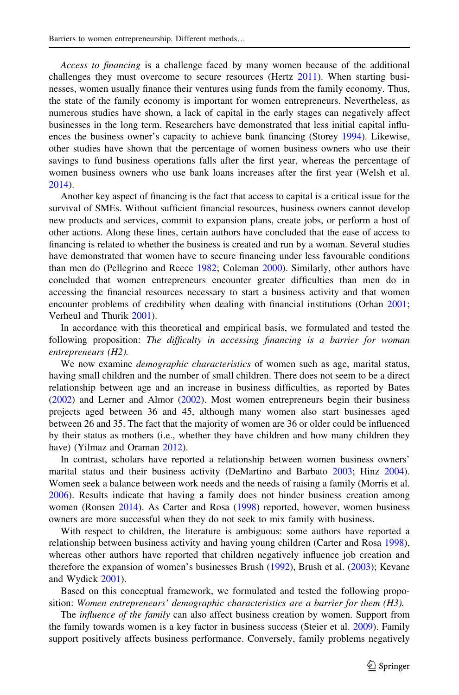Access to financing is a challenge faced by many women because of the additional challenges they must overcome to secure resources (Hertz [2011](#page-14-0)). When starting businesses, women usually finance their ventures using funds from the family economy. Thus, the state of the family economy is important for women entrepreneurs. Nevertheless, as numerous studies have shown, a lack of capital in the early stages can negatively affect businesses in the long term. Researchers have demonstrated that less initial capital influences the business owner's capacity to achieve bank financing (Storey [1994](#page-15-0)). Likewise, other studies have shown that the percentage of women business owners who use their savings to fund business operations falls after the first year, whereas the percentage of women business owners who use bank loans increases after the first year (Welsh et al. [2014\)](#page-15-0).

Another key aspect of financing is the fact that access to capital is a critical issue for the survival of SMEs. Without sufficient financial resources, business owners cannot develop new products and services, commit to expansion plans, create jobs, or perform a host of other actions. Along these lines, certain authors have concluded that the ease of access to financing is related to whether the business is created and run by a woman. Several studies have demonstrated that women have to secure financing under less favourable conditions than men do (Pellegrino and Reece [1982;](#page-14-0) Coleman [2000](#page-13-0)). Similarly, other authors have concluded that women entrepreneurs encounter greater difficulties than men do in accessing the financial resources necessary to start a business activity and that women encounter problems of credibility when dealing with financial institutions (Orhan [2001;](#page-14-0) Verheul and Thurik [2001](#page-15-0)).

In accordance with this theoretical and empirical basis, we formulated and tested the following proposition: The difficulty in accessing financing is a barrier for woman entrepreneurs (H2).

We now examine *demographic characteristics* of women such as age, marital status, having small children and the number of small children. There does not seem to be a direct relationship between age and an increase in business difficulties, as reported by Bates ([2002\)](#page-13-0) and Lerner and Almor ([2002](#page-14-0)). Most women entrepreneurs begin their business projects aged between 36 and 45, although many women also start businesses aged between 26 and 35. The fact that the majority of women are 36 or older could be influenced by their status as mothers (i.e., whether they have children and how many children they have) (Yilmaz and Oraman [2012\)](#page-15-0).

In contrast, scholars have reported a relationship between women business owners' marital status and their business activity (DeMartino and Barbato [2003](#page-13-0); Hinz [2004](#page-14-0)). Women seek a balance between work needs and the needs of raising a family (Morris et al. [2006\)](#page-14-0). Results indicate that having a family does not hinder business creation among women (Ronsen [2014\)](#page-15-0). As Carter and Rosa ([1998\)](#page-13-0) reported, however, women business owners are more successful when they do not seek to mix family with business.

With respect to children, the literature is ambiguous: some authors have reported a relationship between business activity and having young children (Carter and Rosa [1998](#page-13-0)), whereas other authors have reported that children negatively influence job creation and therefore the expansion of women's businesses Brush ([1992\)](#page-13-0), Brush et al. [\(2003](#page-13-0)); Kevane and Wydick [2001\)](#page-14-0).

Based on this conceptual framework, we formulated and tested the following proposition: Women entrepreneurs' demographic characteristics are a barrier for them (H3).

The *influence of the family* can also affect business creation by women. Support from the family towards women is a key factor in business success (Steier et al. [2009](#page-15-0)). Family support positively affects business performance. Conversely, family problems negatively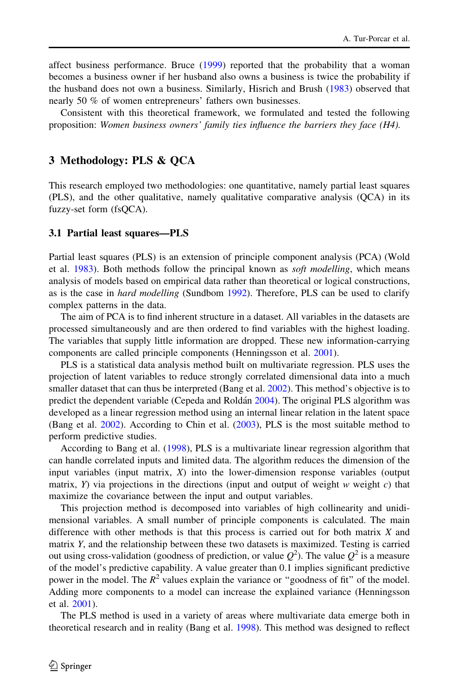affect business performance. Bruce [\(1999](#page-13-0)) reported that the probability that a woman becomes a business owner if her husband also owns a business is twice the probability if the husband does not own a business. Similarly, Hisrich and Brush [\(1983](#page-14-0)) observed that nearly 50 % of women entrepreneurs' fathers own businesses.

Consistent with this theoretical framework, we formulated and tested the following proposition: Women business owners' family ties influence the barriers they face (H4).

#### 3 Methodology: PLS & QCA

This research employed two methodologies: one quantitative, namely partial least squares (PLS), and the other qualitative, namely qualitative comparative analysis (QCA) in its fuzzy-set form (fsQCA).

#### 3.1 Partial least squares—PLS

Partial least squares (PLS) is an extension of principle component analysis (PCA) (Wold et al. [1983](#page-15-0)). Both methods follow the principal known as *soft modelling*, which means analysis of models based on empirical data rather than theoretical or logical constructions, as is the case in *hard modelling* (Sundbom [1992](#page-15-0)). Therefore, PLS can be used to clarify complex patterns in the data.

The aim of PCA is to find inherent structure in a dataset. All variables in the datasets are processed simultaneously and are then ordered to find variables with the highest loading. The variables that supply little information are dropped. These new information-carrying components are called principle components (Henningsson et al. [2001](#page-14-0)).

PLS is a statistical data analysis method built on multivariate regression. PLS uses the projection of latent variables to reduce strongly correlated dimensional data into a much smaller dataset that can thus be interpreted (Bang et al. [2002](#page-13-0)). This method's objective is to predict the dependent variable (Cepeda and Roldán [2004\)](#page-13-0). The original PLS algorithm was developed as a linear regression method using an internal linear relation in the latent space (Bang et al. [2002](#page-13-0)). According to Chin et al. [\(2003](#page-13-0)), PLS is the most suitable method to perform predictive studies.

According to Bang et al. ([1998\)](#page-13-0), PLS is a multivariate linear regression algorithm that can handle correlated inputs and limited data. The algorithm reduces the dimension of the input variables (input matrix,  $X$ ) into the lower-dimension response variables (output matrix,  $Y$ ) via projections in the directions (input and output of weight  $w$  weight  $c$ ) that maximize the covariance between the input and output variables.

This projection method is decomposed into variables of high collinearity and unidimensional variables. A small number of principle components is calculated. The main difference with other methods is that this process is carried out for both matrix  $X$  and matrix Y, and the relationship between these two datasets is maximized. Testing is carried out using cross-validation (goodness of prediction, or value  $Q^2$ ). The value  $Q^2$  is a measure of the model's predictive capability. A value greater than 0.1 implies significant predictive power in the model. The  $R^2$  values explain the variance or "goodness of fit" of the model. Adding more components to a model can increase the explained variance (Henningsson et al. [2001](#page-14-0)).

The PLS method is used in a variety of areas where multivariate data emerge both in theoretical research and in reality (Bang et al. [1998](#page-13-0)). This method was designed to reflect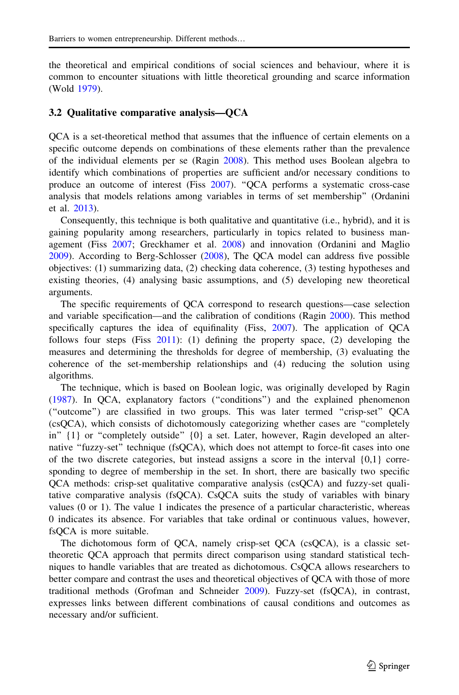the theoretical and empirical conditions of social sciences and behaviour, where it is common to encounter situations with little theoretical grounding and scarce information (Wold [1979](#page-15-0)).

#### 3.2 Qualitative comparative analysis—QCA

QCA is a set-theoretical method that assumes that the influence of certain elements on a specific outcome depends on combinations of these elements rather than the prevalence of the individual elements per se (Ragin [2008](#page-14-0)). This method uses Boolean algebra to identify which combinations of properties are sufficient and/or necessary conditions to produce an outcome of interest (Fiss [2007\)](#page-14-0). ''QCA performs a systematic cross-case analysis that models relations among variables in terms of set membership'' (Ordanini et al. [2013](#page-14-0)).

Consequently, this technique is both qualitative and quantitative (i.e., hybrid), and it is gaining popularity among researchers, particularly in topics related to business management (Fiss [2007](#page-14-0); Greckhamer et al. [2008\)](#page-14-0) and innovation (Ordanini and Maglio [2009\)](#page-14-0). According to Berg-Schlosser [\(2008](#page-13-0)), The QCA model can address five possible objectives: (1) summarizing data, (2) checking data coherence, (3) testing hypotheses and existing theories, (4) analysing basic assumptions, and (5) developing new theoretical arguments.

The specific requirements of QCA correspond to research questions—case selection and variable specification—and the calibration of conditions (Ragin [2000\)](#page-14-0). This method specifically captures the idea of equifinality (Fiss, [2007\)](#page-14-0). The application of QCA follows four steps (Fiss [2011\)](#page-14-0): (1) defining the property space, (2) developing the measures and determining the thresholds for degree of membership, (3) evaluating the coherence of the set-membership relationships and (4) reducing the solution using algorithms.

The technique, which is based on Boolean logic, was originally developed by Ragin ([1987\)](#page-14-0). In QCA, explanatory factors (''conditions'') and the explained phenomenon (''outcome'') are classified in two groups. This was later termed ''crisp-set'' QCA (csQCA), which consists of dichotomously categorizing whether cases are ''completely in"  $\{1\}$  or "completely outside"  $\{0\}$  a set. Later, however, Ragin developed an alternative "fuzzy-set" technique (fsQCA), which does not attempt to force-fit cases into one of the two discrete categories, but instead assigns a score in the interval  $\{0,1\}$  corresponding to degree of membership in the set. In short, there are basically two specific QCA methods: crisp-set qualitative comparative analysis (csQCA) and fuzzy-set qualitative comparative analysis (fsQCA). CsQCA suits the study of variables with binary values (0 or 1). The value 1 indicates the presence of a particular characteristic, whereas 0 indicates its absence. For variables that take ordinal or continuous values, however, fsQCA is more suitable.

The dichotomous form of QCA, namely crisp-set QCA (csQCA), is a classic settheoretic QCA approach that permits direct comparison using standard statistical techniques to handle variables that are treated as dichotomous. CsQCA allows researchers to better compare and contrast the uses and theoretical objectives of QCA with those of more traditional methods (Grofman and Schneider [2009](#page-14-0)). Fuzzy-set (fsQCA), in contrast, expresses links between different combinations of causal conditions and outcomes as necessary and/or sufficient.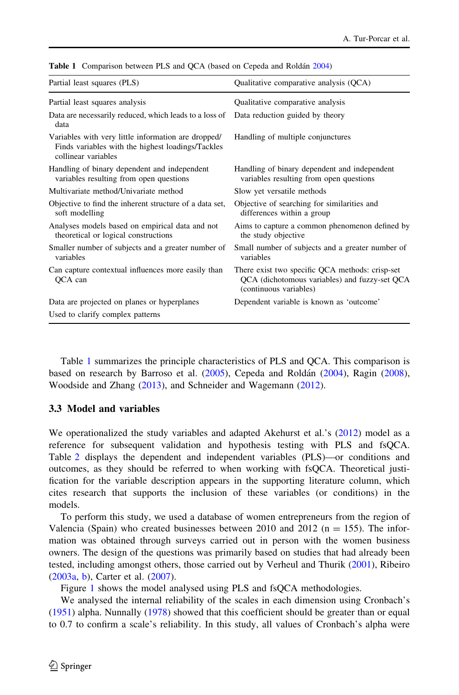| Partial least squares (PLS)                                                                                                     | Qualitative comparative analysis (QCA)                                                                                     |
|---------------------------------------------------------------------------------------------------------------------------------|----------------------------------------------------------------------------------------------------------------------------|
| Partial least squares analysis                                                                                                  | Qualitative comparative analysis                                                                                           |
| Data are necessarily reduced, which leads to a loss of<br>data                                                                  | Data reduction guided by theory                                                                                            |
| Variables with very little information are dropped/<br>Finds variables with the highest loadings/Tackles<br>collinear variables | Handling of multiple conjunctures                                                                                          |
| Handling of binary dependent and independent<br>variables resulting from open questions                                         | Handling of binary dependent and independent<br>variables resulting from open questions                                    |
| Multivariate method/Univariate method                                                                                           | Slow yet versatile methods                                                                                                 |
| Objective to find the inherent structure of a data set,<br>soft modelling                                                       | Objective of searching for similarities and<br>differences within a group                                                  |
| Analyses models based on empirical data and not<br>theoretical or logical constructions                                         | Aims to capture a common phenomenon defined by<br>the study objective                                                      |
| Smaller number of subjects and a greater number of<br>variables                                                                 | Small number of subjects and a greater number of<br>variables                                                              |
| Can capture contextual influences more easily than<br>QCA can                                                                   | There exist two specific QCA methods: crisp-set<br>QCA (dichotomous variables) and fuzzy-set QCA<br>(continuous variables) |
| Data are projected on planes or hyperplanes                                                                                     | Dependent variable is known as 'outcome'                                                                                   |
| Used to clarify complex patterns                                                                                                |                                                                                                                            |

Table 1 Comparison between PLS and QCA (based on Cepeda and Roldán [2004](#page-13-0))

Table 1 summarizes the principle characteristics of PLS and QCA. This comparison is based on research by Barroso et al. [\(2005](#page-13-0)), Cepeda and Roldán ([2004\)](#page-13-0), Ragin [\(2008](#page-14-0)), Woodside and Zhang ([2013\)](#page-15-0), and Schneider and Wagemann ([2012\)](#page-15-0).

## 3.3 Model and variables

We operationalized the study variables and adapted Akehurst et al.'s [\(2012](#page-13-0)) model as a reference for subsequent validation and hypothesis testing with PLS and fsQCA. Table [2](#page-6-0) displays the dependent and independent variables (PLS)—or conditions and outcomes, as they should be referred to when working with fsQCA. Theoretical justification for the variable description appears in the supporting literature column, which cites research that supports the inclusion of these variables (or conditions) in the models.

To perform this study, we used a database of women entrepreneurs from the region of Valencia (Spain) who created businesses between 2010 and 2012 ( $n = 155$ ). The information was obtained through surveys carried out in person with the women business owners. The design of the questions was primarily based on studies that had already been tested, including amongst others, those carried out by Verheul and Thurik ([2001\)](#page-15-0), Ribeiro ([2003a](#page-14-0), [b](#page-15-0)), Carter et al. ([2007](#page-13-0)).

Figure [1](#page-7-0) shows the model analysed using PLS and fsQCA methodologies.

We analysed the internal reliability of the scales in each dimension using Cronbach's ([1951\)](#page-13-0) alpha. Nunnally [\(1978](#page-14-0)) showed that this coefficient should be greater than or equal to 0.7 to confirm a scale's reliability. In this study, all values of Cronbach's alpha were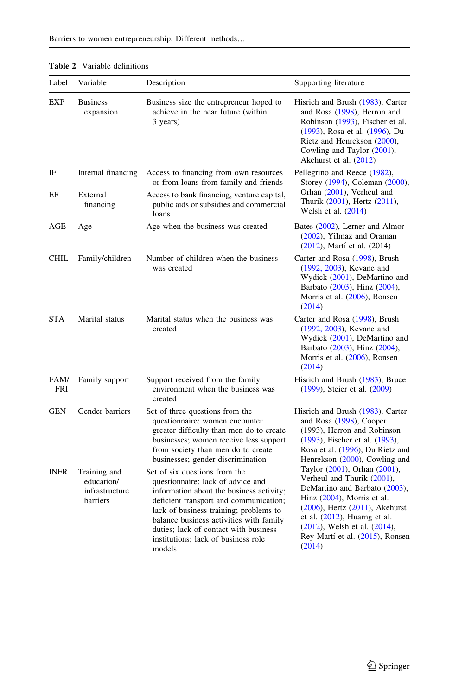| Label              | Variable                                                 | Description                                                                                                                                                                                                                                                                                                                             | Supporting literature                                                                                                                                                                                                                                                                |
|--------------------|----------------------------------------------------------|-----------------------------------------------------------------------------------------------------------------------------------------------------------------------------------------------------------------------------------------------------------------------------------------------------------------------------------------|--------------------------------------------------------------------------------------------------------------------------------------------------------------------------------------------------------------------------------------------------------------------------------------|
| <b>EXP</b>         | <b>Business</b><br>expansion                             | Business size the entrepreneur hoped to<br>achieve in the near future (within<br>3 years)                                                                                                                                                                                                                                               | Hisrich and Brush (1983), Carter<br>and Rosa (1998), Herron and<br>Robinson (1993), Fischer et al.<br>(1993), Rosa et al. (1996), Du<br>Rietz and Henrekson (2000),<br>Cowling and Taylor (2001),<br>Akehurst et al. (2012)                                                          |
| IF                 | Internal financing                                       | Access to financing from own resources<br>or from loans from family and friends                                                                                                                                                                                                                                                         | Pellegrino and Reece (1982),<br>Storey (1994), Coleman (2000),                                                                                                                                                                                                                       |
| EF                 | External<br>financing                                    | Access to bank financing, venture capital,<br>public aids or subsidies and commercial<br>loans                                                                                                                                                                                                                                          | Orhan (2001), Verheul and<br>Thurik (2001), Hertz (2011),<br>Welsh et al. $(2014)$                                                                                                                                                                                                   |
| AGE                | Age                                                      | Age when the business was created                                                                                                                                                                                                                                                                                                       | Bates (2002), Lerner and Almor<br>$(2002)$ , Yilmaz and Oraman<br>(2012), Martí et al. (2014)                                                                                                                                                                                        |
| <b>CHIL</b>        | Family/children                                          | Number of children when the business<br>was created                                                                                                                                                                                                                                                                                     | Carter and Rosa (1998), Brush<br>(1992, 2003), Kevane and<br>Wydick (2001), DeMartino and<br>Barbato (2003), Hinz (2004),<br>Morris et al. (2006), Ronsen<br>(2014)                                                                                                                  |
| STA                | Marital status                                           | Marital status when the business was<br>created                                                                                                                                                                                                                                                                                         | Carter and Rosa (1998), Brush<br>(1992, 2003), Kevane and<br>Wydick (2001), DeMartino and<br>Barbato (2003), Hinz (2004),<br>Morris et al. (2006), Ronsen<br>(2014)                                                                                                                  |
| FAM/<br><b>FRI</b> | Family support                                           | Support received from the family<br>environment when the business was<br>created                                                                                                                                                                                                                                                        | Hisrich and Brush (1983), Bruce<br>(1999), Steier et al. (2009)                                                                                                                                                                                                                      |
| <b>GEN</b>         | Gender barriers                                          | Set of three questions from the<br>questionnaire: women encounter<br>greater difficulty than men do to create<br>businesses; women receive less support<br>from society than men do to create<br>businesses; gender discrimination                                                                                                      | Hisrich and Brush (1983), Carter<br>and Rosa (1998), Cooper<br>(1993), Herron and Robinson<br>(1993), Fischer et al. (1993),<br>Rosa et al. (1996), Du Rietz and<br>Henrekson (2000), Cowling and                                                                                    |
| <b>INFR</b>        | Training and<br>education/<br>infrastructure<br>barriers | Set of six questions from the<br>questionnaire: lack of advice and<br>information about the business activity;<br>deficient transport and communication;<br>lack of business training; problems to<br>balance business activities with family<br>duties; lack of contact with business<br>institutions; lack of business role<br>models | Taylor (2001), Orhan (2001),<br>Verheul and Thurik (2001),<br>DeMartino and Barbato (2003),<br>Hinz $(2004)$ , Morris et al.<br>$(2006)$ , Hertz $(2011)$ , Akehurst<br>et al. $(2012)$ , Huarng et al.<br>(2012), Welsh et al. (2014),<br>Rey-Martí et al. (2015), Ronsen<br>(2014) |

#### <span id="page-6-0"></span>Table 2 Variable definitions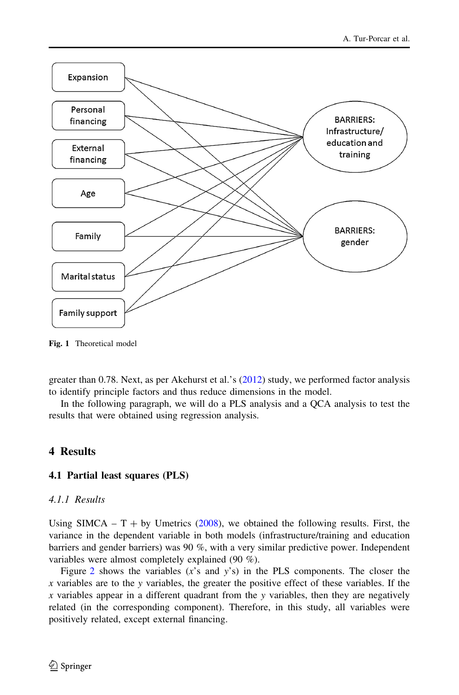<span id="page-7-0"></span>

Fig. 1 Theoretical model

greater than 0.78. Next, as per Akehurst et al.'s [\(2012](#page-13-0)) study, we performed factor analysis to identify principle factors and thus reduce dimensions in the model.

In the following paragraph, we will do a PLS analysis and a QCA analysis to test the results that were obtained using regression analysis.

## 4 Results

#### 4.1 Partial least squares (PLS)

#### 4.1.1 Results

Using SIMCA –  $T + by$  Umetrics [\(2008](#page-15-0)), we obtained the following results. First, the variance in the dependent variable in both models (infrastructure/training and education barriers and gender barriers) was 90 %, with a very similar predictive power. Independent variables were almost completely explained (90 %).

Figure [2](#page-8-0) shows the variables  $(x's$  and  $y's$ ) in the PLS components. The closer the  $x$  variables are to the y variables, the greater the positive effect of these variables. If the  $x$  variables appear in a different quadrant from the y variables, then they are negatively related (in the corresponding component). Therefore, in this study, all variables were positively related, except external financing.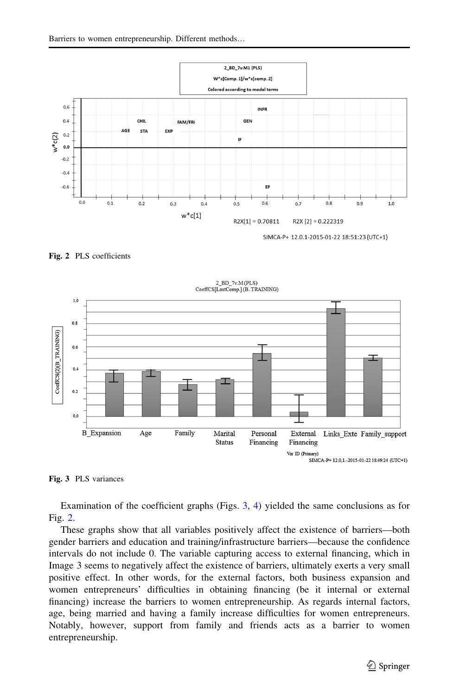<span id="page-8-0"></span>

Fig. 2 PLS coefficients





Examination of the coefficient graphs (Figs. 3, [4](#page-9-0)) yielded the same conclusions as for Fig. 2.

These graphs show that all variables positively affect the existence of barriers—both gender barriers and education and training/infrastructure barriers—because the confidence intervals do not include 0. The variable capturing access to external financing, which in Image 3 seems to negatively affect the existence of barriers, ultimately exerts a very small positive effect. In other words, for the external factors, both business expansion and women entrepreneurs' difficulties in obtaining financing (be it internal or external financing) increase the barriers to women entrepreneurship. As regards internal factors, age, being married and having a family increase difficulties for women entrepreneurs. Notably, however, support from family and friends acts as a barrier to women entrepreneurship.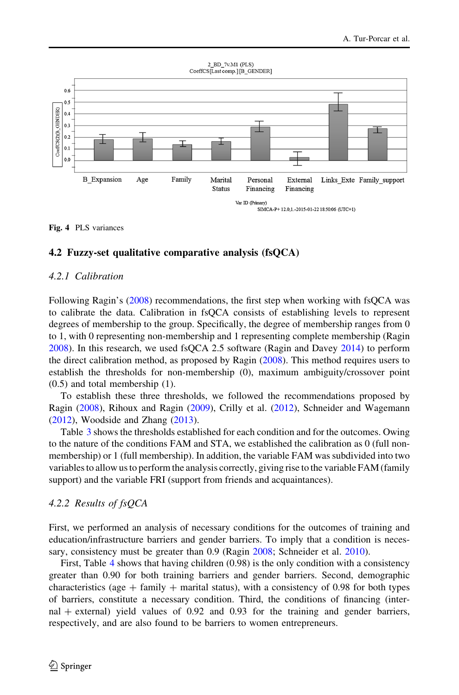<span id="page-9-0"></span>

Fig. 4 PLS variances

#### 4.2 Fuzzy-set qualitative comparative analysis (fsQCA)

#### 4.2.1 Calibration

Following Ragin's ([2008\)](#page-14-0) recommendations, the first step when working with fsQCA was to calibrate the data. Calibration in fsQCA consists of establishing levels to represent degrees of membership to the group. Specifically, the degree of membership ranges from 0 to 1, with 0 representing non-membership and 1 representing complete membership (Ragin [2008\)](#page-14-0). In this research, we used fsQCA 2.5 software (Ragin and Davey [2014](#page-14-0)) to perform the direct calibration method, as proposed by Ragin ([2008\)](#page-14-0). This method requires users to establish the thresholds for non-membership (0), maximum ambiguity/crossover point (0.5) and total membership (1).

To establish these three thresholds, we followed the recommendations proposed by Ragin [\(2008](#page-14-0)), Rihoux and Ragin [\(2009](#page-15-0)), Crilly et al. ([2012](#page-13-0)), Schneider and Wagemann ([2012\)](#page-15-0), Woodside and Zhang ([2013](#page-15-0)).

Table [3](#page-10-0) shows the thresholds established for each condition and for the outcomes. Owing to the nature of the conditions FAM and STA, we established the calibration as 0 (full nonmembership) or 1 (full membership). In addition, the variable FAM was subdivided into two variables to allow us to perform the analysis correctly, giving rise to the variable FAM (family support) and the variable FRI (support from friends and acquaintances).

#### 4.2.2 Results of fsQCA

First, we performed an analysis of necessary conditions for the outcomes of training and education/infrastructure barriers and gender barriers. To imply that a condition is neces-sary, consistency must be greater than 0.9 (Ragin [2008](#page-14-0); Schneider et al. [2010](#page-15-0)).

First, Table [4](#page-10-0) shows that having children (0.98) is the only condition with a consistency greater than 0.90 for both training barriers and gender barriers. Second, demographic characteristics (age  $+$  family  $+$  marital status), with a consistency of 0.98 for both types of barriers, constitute a necessary condition. Third, the conditions of financing (internal  $+$  external) yield values of 0.92 and 0.93 for the training and gender barriers, respectively, and are also found to be barriers to women entrepreneurs.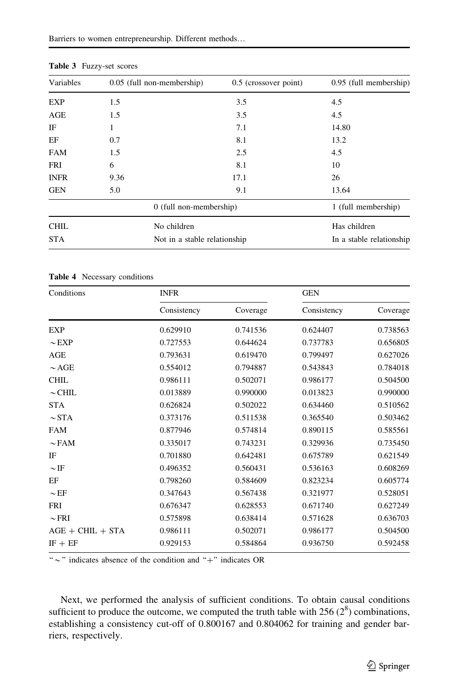| Variables   | 0.05 (full non-membership)   | 0.5 (crossover point) | 0.95 (full membership)   |
|-------------|------------------------------|-----------------------|--------------------------|
| <b>EXP</b>  | 1.5                          | 3.5                   | 4.5                      |
| AGE         | 1.5                          | 3.5                   | 4.5                      |
| IF          | 1                            | 7.1                   | 14.80                    |
| EF          | 0.7                          | 8.1                   | 13.2                     |
| <b>FAM</b>  | 1.5                          | 2.5                   | 4.5                      |
| <b>FRI</b>  | 6                            | 8.1                   | 10                       |
| <b>INFR</b> | 9.36                         | 17.1                  | 26                       |
| <b>GEN</b>  | 5.0                          | 9.1                   | 13.64                    |
|             | 0 (full non-membership)      |                       | 1 (full membership)      |
| <b>CHIL</b> | No children                  |                       | Has children             |
| <b>STA</b>  | Not in a stable relationship |                       | In a stable relationship |

<span id="page-10-0"></span>Table 3 Fuzzy-set scores

Table 4 Necessary conditions

| Conditions         | <b>INFR</b> |          | <b>GEN</b>  |          |  |
|--------------------|-------------|----------|-------------|----------|--|
|                    | Consistency | Coverage | Consistency | Coverage |  |
| <b>EXP</b>         | 0.629910    | 0.741536 | 0.624407    | 0.738563 |  |
| $\sim$ EXP         | 0.727553    | 0.644624 | 0.737783    | 0.656805 |  |
| AGE                | 0.793631    | 0.619470 | 0.799497    | 0.627026 |  |
| $\sim$ AGE         | 0.554012    | 0.794887 | 0.543843    | 0.784018 |  |
| <b>CHIL</b>        | 0.986111    | 0.502071 | 0.986177    | 0.504500 |  |
| $\sim$ CHIL        | 0.013889    | 0.990000 | 0.013823    | 0.990000 |  |
| <b>STA</b>         | 0.626824    | 0.502022 | 0.634460    | 0.510562 |  |
| $\sim$ STA         | 0.373176    | 0.511538 | 0.365540    | 0.503462 |  |
| <b>FAM</b>         | 0.877946    | 0.574814 | 0.890115    | 0.585561 |  |
| $\sim$ FAM         | 0.335017    | 0.743231 | 0.329936    | 0.735450 |  |
| IF                 | 0.701880    | 0.642481 | 0.675789    | 0.621549 |  |
| $\sim$ IF          | 0.496352    | 0.560431 | 0.536163    | 0.608269 |  |
| EF                 | 0.798260    | 0.584609 | 0.823234    | 0.605774 |  |
| $\sim$ EF          | 0.347643    | 0.567438 | 0.321977    | 0.528051 |  |
| <b>FRI</b>         | 0.676347    | 0.628553 | 0.671740    | 0.627249 |  |
| $\sim$ FRI         | 0.575898    | 0.638414 | 0.571628    | 0.636703 |  |
| $AGE + CHIL + STA$ | 0.986111    | 0.502071 | 0.986177    | 0.504500 |  |
| $IF + EF$          | 0.929153    | 0.584864 | 0.936750    | 0.592458 |  |
|                    |             |          |             |          |  |

" $\sim$ "' indicates absence of the condition and "+" indicates OR

Next, we performed the analysis of sufficient conditions. To obtain causal conditions sufficient to produce the outcome, we computed the truth table with  $256 (2^8)$  combinations, establishing a consistency cut-off of 0.800167 and 0.804062 for training and gender barriers, respectively.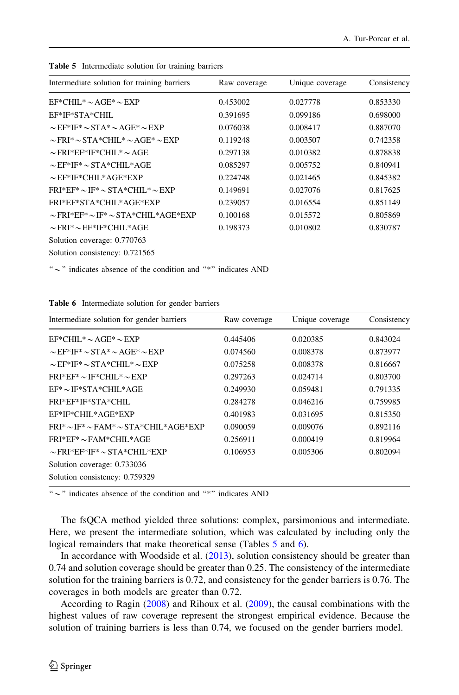| Intermediate solution for training barriers         | Raw coverage | Unique coverage | Consistency |
|-----------------------------------------------------|--------------|-----------------|-------------|
| $EF^*CHII.* \sim AGE^* \sim EXP$                    | 0.453002     | 0.027778        | 0.853330    |
| EF*IF*STA*CHIL                                      | 0.391695     | 0.099186        | 0.698000    |
| $\sim$ EF*IF* $\sim$ STA* $\sim$ AGE* $\sim$ EXP    | 0.076038     | 0.008417        | 0.887070    |
| $\sim$ FRI* $\sim$ STA*CHIL* $\sim$ AGE* $\sim$ EXP | 0.119248     | 0.003507        | 0.742358    |
| $\sim$ FRI*EF*IF*CHIL* $\sim$ AGE                   | 0.297138     | 0.010382        | 0.878838    |
| $\sim$ EF*IF* $\sim$ STA*CHIL*AGE                   | 0.085297     | 0.005752        | 0.840941    |
| $\sim$ EF*IF*CHIL*AGE*EXP                           | 0.224748     | 0.021465        | 0.845382    |
| $FRI*EF* \sim IF* \sim STA*CHII.* \sim EXP$         | 0.149691     | 0.027076        | 0.817625    |
| FRI*EF*STA*CHIL*AGE*EXP                             | 0.239057     | 0.016554        | 0.851149    |
| $\sim$ FRI*EF* $\sim$ IF* $\sim$ STA*CHIL*AGE*EXP   | 0.100168     | 0.015572        | 0.805869    |
| $\sim$ FRI* $\sim$ EF*IF*CHIL*AGE                   | 0.198373     | 0.010802        | 0.830787    |
| Solution coverage: 0.770763                         |              |                 |             |
| Solution consistency: 0.721565                      |              |                 |             |

Table 5 Intermediate solution for training barriers

" $\sim$ " indicates absence of the condition and "\*" indicates AND

|  | <b>Table 6</b> Intermediate solution for gender barriers |  |  |  |  |
|--|----------------------------------------------------------|--|--|--|--|
|--|----------------------------------------------------------|--|--|--|--|

| Intermediate solution for gender barriers           | Raw coverage | Unique coverage | Consistency |
|-----------------------------------------------------|--------------|-----------------|-------------|
| $EF^*CHII.* \sim AGE^* \sim EXP$                    | 0.445406     | 0.020385        | 0.843024    |
| $\sim$ EF*IF* $\sim$ STA* $\sim$ AGE* $\sim$ EXP    | 0.074560     | 0.008378        | 0.873977    |
| $\sim$ EF*IF* $\sim$ STA*CHIL* $\sim$ EXP           | 0.075258     | 0.008378        | 0.816667    |
| $FRI*EF* \sim IF*CHII.* \sim EXP$                   | 0.297263     | 0.024714        | 0.803700    |
| $EF^* \sim IF^*STA^*CHII.*AGE$                      | 0.249930     | 0.059481        | 0.791335    |
| FRI*EF*IF*STA*CHIL                                  | 0.284278     | 0.046216        | 0.759985    |
| EF*IF*CHIL*AGE*EXP                                  | 0.401983     | 0.031695        | 0.815350    |
| $FRI^* \sim IF^* \sim FAM^* \sim STA*CHII.*AGE*EXP$ | 0.090059     | 0.009076        | 0.892116    |
| $FRI*EF* \sim FAM*CHII.*AGE$                        | 0.256911     | 0.000419        | 0.819964    |
| $\sim$ FRI*EF*IF* $\sim$ STA*CHIL*EXP               | 0.106953     | 0.005306        | 0.802094    |
| Solution coverage: 0.733036                         |              |                 |             |
| Solution consistency: 0.759329                      |              |                 |             |

" $\sim$ " indicates absence of the condition and "\*" indicates AND

The fsQCA method yielded three solutions: complex, parsimonious and intermediate. Here, we present the intermediate solution, which was calculated by including only the logical remainders that make theoretical sense (Tables 5 and 6).

In accordance with Woodside et al. ([2013\)](#page-15-0), solution consistency should be greater than 0.74 and solution coverage should be greater than 0.25. The consistency of the intermediate solution for the training barriers is 0.72, and consistency for the gender barriers is 0.76. The coverages in both models are greater than 0.72.

According to Ragin [\(2008](#page-14-0)) and Rihoux et al. [\(2009](#page-15-0)), the causal combinations with the highest values of raw coverage represent the strongest empirical evidence. Because the solution of training barriers is less than 0.74, we focused on the gender barriers model.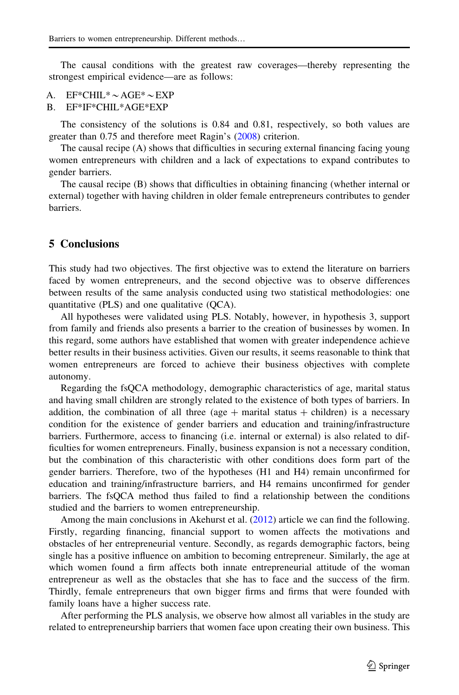The causal conditions with the greatest raw coverages—thereby representing the strongest empirical evidence—are as follows:

- A. EF\*CHIL\* $\sim$  AGE\* $\sim$ EXP
- B. EF\*IF\*CHIL\*AGE\*EXP

The consistency of the solutions is 0.84 and 0.81, respectively, so both values are greater than 0.75 and therefore meet Ragin's [\(2008](#page-14-0)) criterion.

The causal recipe (A) shows that difficulties in securing external financing facing young women entrepreneurs with children and a lack of expectations to expand contributes to gender barriers.

The causal recipe (B) shows that difficulties in obtaining financing (whether internal or external) together with having children in older female entrepreneurs contributes to gender barriers.

## 5 Conclusions

This study had two objectives. The first objective was to extend the literature on barriers faced by women entrepreneurs, and the second objective was to observe differences between results of the same analysis conducted using two statistical methodologies: one quantitative (PLS) and one qualitative (QCA).

All hypotheses were validated using PLS. Notably, however, in hypothesis 3, support from family and friends also presents a barrier to the creation of businesses by women. In this regard, some authors have established that women with greater independence achieve better results in their business activities. Given our results, it seems reasonable to think that women entrepreneurs are forced to achieve their business objectives with complete autonomy.

Regarding the fsQCA methodology, demographic characteristics of age, marital status and having small children are strongly related to the existence of both types of barriers. In addition, the combination of all three (age  $+$  marital status  $+$  children) is a necessary condition for the existence of gender barriers and education and training/infrastructure barriers. Furthermore, access to financing (i.e. internal or external) is also related to difficulties for women entrepreneurs. Finally, business expansion is not a necessary condition, but the combination of this characteristic with other conditions does form part of the gender barriers. Therefore, two of the hypotheses (H1 and H4) remain unconfirmed for education and training/infrastructure barriers, and H4 remains unconfirmed for gender barriers. The fsQCA method thus failed to find a relationship between the conditions studied and the barriers to women entrepreneurship.

Among the main conclusions in Akehurst et al. [\(2012](#page-13-0)) article we can find the following. Firstly, regarding financing, financial support to women affects the motivations and obstacles of her entrepreneurial venture. Secondly, as regards demographic factors, being single has a positive influence on ambition to becoming entrepreneur. Similarly, the age at which women found a firm affects both innate entrepreneurial attitude of the woman entrepreneur as well as the obstacles that she has to face and the success of the firm. Thirdly, female entrepreneurs that own bigger firms and firms that were founded with family loans have a higher success rate.

After performing the PLS analysis, we observe how almost all variables in the study are related to entrepreneurship barriers that women face upon creating their own business. This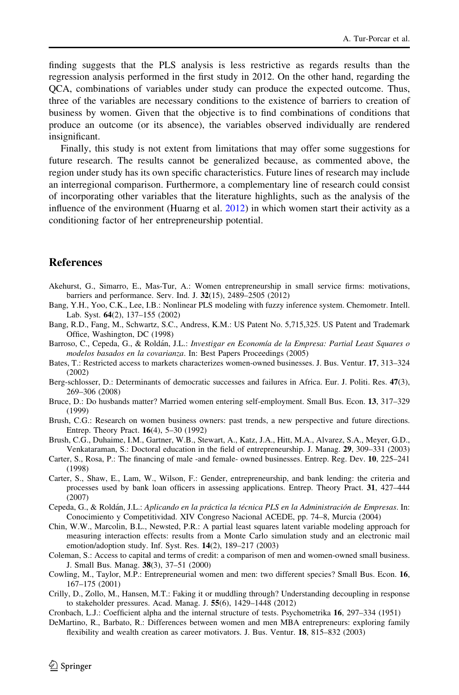<span id="page-13-0"></span>finding suggests that the PLS analysis is less restrictive as regards results than the regression analysis performed in the first study in 2012. On the other hand, regarding the QCA, combinations of variables under study can produce the expected outcome. Thus, three of the variables are necessary conditions to the existence of barriers to creation of business by women. Given that the objective is to find combinations of conditions that produce an outcome (or its absence), the variables observed individually are rendered insignificant.

Finally, this study is not extent from limitations that may offer some suggestions for future research. The results cannot be generalized because, as commented above, the region under study has its own specific characteristics. Future lines of research may include an interregional comparison. Furthermore, a complementary line of research could consist of incorporating other variables that the literature highlights, such as the analysis of the influence of the environment (Huarng et al. [2012\)](#page-14-0) in which women start their activity as a conditioning factor of her entrepreneurship potential.

#### **References**

- Akehurst, G., Simarro, E., Mas-Tur, A.: Women entrepreneurship in small service firms: motivations, barriers and performance. Serv. Ind. J. 32(15), 2489–2505 (2012)
- Bang, Y.H., Yoo, C.K., Lee, I.B.: Nonlinear PLS modeling with fuzzy inference system. Chemometr. Intell. Lab. Syst. 64(2), 137–155 (2002)
- Bang, R.D., Fang, M., Schwartz, S.C., Andress, K.M.: US Patent No. 5,715,325. US Patent and Trademark Office, Washington, DC (1998)
- Barroso, C., Cepeda, G., & Roldán, J.L.: Investigar en Economía de la Empresa: Partial Least Squares o modelos basados en la covarianza. In: Best Papers Proceedings (2005)
- Bates, T.: Restricted access to markets characterizes women-owned businesses. J. Bus. Ventur. 17, 313–324 (2002)
- Berg-schlosser, D.: Determinants of democratic successes and failures in Africa. Eur. J. Politi. Res. 47(3), 269–306 (2008)
- Bruce, D.: Do husbands matter? Married women entering self-employment. Small Bus. Econ. 13, 317–329 (1999)
- Brush, C.G.: Research on women business owners: past trends, a new perspective and future directions. Entrep. Theory Pract. 16(4), 5–30 (1992)
- Brush, C.G., Duhaime, I.M., Gartner, W.B., Stewart, A., Katz, J.A., Hitt, M.A., Alvarez, S.A., Meyer, G.D., Venkataraman, S.: Doctoral education in the field of entrepreneurship. J. Manag. 29, 309–331 (2003)
- Carter, S., Rosa, P.: The financing of male -and female- owned businesses. Entrep. Reg. Dev. 10, 225–241 (1998)
- Carter, S., Shaw, E., Lam, W., Wilson, F.: Gender, entrepreneurship, and bank lending: the criteria and processes used by bank loan officers in assessing applications. Entrep. Theory Pract. 31, 427–444 (2007)
- Cepeda, G., & Roldán, J.L.: Aplicando en la práctica la técnica PLS en la Administración de Empresas. In: Conocimiento y Competitividad. XIV Congreso Nacional ACEDE, pp. 74–8, Murcia (2004)
- Chin, W.W., Marcolin, B.L., Newsted, P.R.: A partial least squares latent variable modeling approach for measuring interaction effects: results from a Monte Carlo simulation study and an electronic mail emotion/adoption study. Inf. Syst. Res. 14(2), 189–217 (2003)
- Coleman, S.: Access to capital and terms of credit: a comparison of men and women-owned small business. J. Small Bus. Manag. 38(3), 37–51 (2000)
- Cowling, M., Taylor, M.P.: Entrepreneurial women and men: two different species? Small Bus. Econ. 16, 167–175 (2001)
- Crilly, D., Zollo, M., Hansen, M.T.: Faking it or muddling through? Understanding decoupling in response to stakeholder pressures. Acad. Manag. J. 55(6), 1429–1448 (2012)
- Cronbach, L.J.: Coefficient alpha and the internal structure of tests. Psychometrika 16, 297–334 (1951)
- DeMartino, R., Barbato, R.: Differences between women and men MBA entrepreneurs: exploring family flexibility and wealth creation as career motivators. J. Bus. Ventur. 18, 815–832 (2003)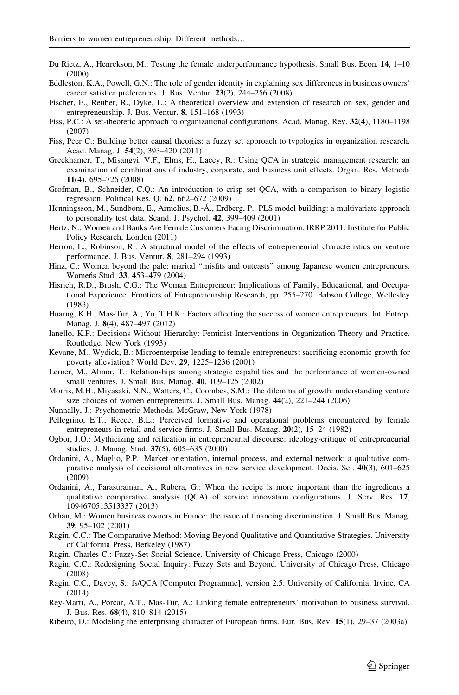- <span id="page-14-0"></span>Du Rietz, A., Henrekson, M.: Testing the female underperformance hypothesis. Small Bus. Econ. 14, 1–10 (2000)
- Eddleston, K.A., Powell, G.N.: The role of gender identity in explaining sex differences in business owners' career satisfier preferences. J. Bus. Ventur. 23(2), 244–256 (2008)
- Fischer, E., Reuber, R., Dyke, L.: A theoretical overview and extension of research on sex, gender and entrepreneurship. J. Bus. Ventur. 8, 151–168 (1993)
- Fiss, P.C.: A set-theoretic approach to organizational configurations. Acad. Manag. Rev. 32(4), 1180–1198 (2007)
- Fiss, Peer C.: Building better causal theories: a fuzzy set approach to typologies in organization research. Acad. Manag. J. 54(2), 393–420 (2011)
- Greckhamer, T., Misangyi, V.F., Elms, H., Lacey, R.: Using QCA in strategic management research: an examination of combinations of industry, corporate, and business unit effects. Organ. Res. Methods 11(4), 695–726 (2008)
- Grofman, B., Schneider, C.Q.: An introduction to crisp set QCA, with a comparison to binary logistic regression. Political Res. Q. 62, 662–672 (2009)
- Henningsson, M., Sundbom, E., Armelius, B.-Å., Erdberg, P.: PLS model building: a multivariate approach to personality test data. Scand. J. Psychol. 42, 399–409 (2001)
- Hertz, N.: Women and Banks Are Female Customers Facing Discrimination. IRRP 2011. Institute for Public Policy Research, London (2011)
- Herron, L., Robinson, R.: A structural model of the effects of entrepreneurial characteristics on venture performance. J. Bus. Ventur. 8, 281–294 (1993)
- Hinz, C.: Women beyond the pale: marital "misfits and outcasts" among Japanese women entrepreneurs. Women's Stud. 33, 453-479 (2004)
- Hisrich, R.D., Brush, C.G.: The Woman Entrepreneur: Implications of Family, Educational, and Occupational Experience. Frontiers of Entrepreneurship Research, pp. 255–270. Babson College, Wellesley (1983)
- Huarng, K.H., Mas-Tur, A., Yu, T.H.K.: Factors affecting the success of women entrepreneurs. Int. Entrep. Manag. J. 8(4), 487–497 (2012)
- Ianello, K.P.: Decisions Without Hierarchy: Feminist Interventions in Organization Theory and Practice. Routledge, New York (1993)
- Kevane, M., Wydick, B.: Microenterprise lending to female entrepreneurs: sacrificing economic growth for poverty alleviation? World Dev. 29, 1225–1236 (2001)
- Lerner, M., Almor, T.: Relationships among strategic capabilities and the performance of women-owned small ventures. J. Small Bus. Manag. 40, 109–125 (2002)
- Morris, M.H., Miyasaki, N.N., Watters, C., Coombes, S.M.: The dilemma of growth: understanding venture size choices of women entrepreneurs. J. Small Bus. Manag. 44(2), 221–244 (2006)
- Nunnally, J.: Psychometric Methods. McGraw, New York (1978)
- Pellegrino, E.T., Reece, B.L.: Perceived formative and operational problems encountered by female entrepreneurs in retail and service firms. J. Small Bus. Manag. 20(2), 15–24 (1982)
- Ogbor, J.O.: Mythicizing and reification in entrepreneurial discourse: ideology-critique of entrepreneurial studies. J. Manag. Stud. 37(5), 605–635 (2000)
- Ordanini, A., Maglio, P.P.: Market orientation, internal process, and external network: a qualitative comparative analysis of decisional alternatives in new service development. Decis. Sci. 40(3), 601–625 (2009)
- Ordanini, A., Parasuraman, A., Rubera, G.: When the recipe is more important than the ingredients a qualitative comparative analysis (QCA) of service innovation configurations. J. Serv. Res. 17, 1094670513513337 (2013)
- Orhan, M.: Women business owners in France: the issue of financing discrimination. J. Small Bus. Manag. 39, 95–102 (2001)
- Ragin, C.C.: The Comparative Method: Moving Beyond Qualitative and Quantitative Strategies. University of California Press, Berkeley (1987)
- Ragin, Charles C.: Fuzzy-Set Social Science. University of Chicago Press, Chicago (2000)
- Ragin, C.C.: Redesigning Social Inquiry: Fuzzy Sets and Beyond. University of Chicago Press, Chicago (2008)
- Ragin, C.C., Davey, S.: fs/QCA [Computer Programme], version 2.5. University of California, Irvine, CA (2014)
- Rey-Martí, A., Porcar, A.T., Mas-Tur, A.: Linking female entrepreneurs' motivation to business survival. J. Bus. Res. 68(4), 810–814 (2015)
- Ribeiro, D.: Modeling the enterprising character of European firms. Eur. Bus. Rev. 15(1), 29–37 (2003a)